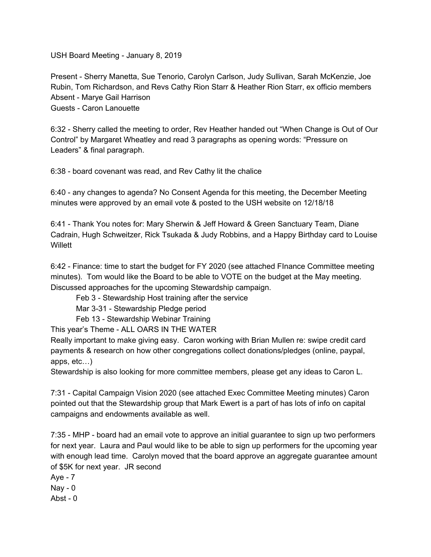USH Board Meeting - January 8, 2019

Present - Sherry Manetta, Sue Tenorio, Carolyn Carlson, Judy Sullivan, Sarah McKenzie, Joe Rubin, Tom Richardson, and Revs Cathy Rion Starr & Heather Rion Starr, ex officio members Absent - Marye Gail Harrison Guests - Caron Lanouette

6:32 - Sherry called the meeting to order, Rev Heather handed out "When Change is Out of Our Control" by Margaret Wheatley and read 3 paragraphs as opening words: "Pressure on Leaders" & final paragraph.

6:38 - board covenant was read, and Rev Cathy lit the chalice

6:40 - any changes to agenda? No Consent Agenda for this meeting, the December Meeting minutes were approved by an email vote & posted to the USH website on 12/18/18

6:41 - Thank You notes for: Mary Sherwin & Jeff Howard & Green Sanctuary Team, Diane Cadrain, Hugh Schweitzer, Rick Tsukada & Judy Robbins, and a Happy Birthday card to Louise **Willett** 

6:42 - Finance: time to start the budget for FY 2020 (see attached FInance Committee meeting minutes). Tom would like the Board to be able to VOTE on the budget at the May meeting. Discussed approaches for the upcoming Stewardship campaign.

Feb 3 - Stewardship Host training after the service

Mar 3-31 - Stewardship Pledge period

Feb 13 - Stewardship Webinar Training

This year's Theme - ALL OARS IN THE WATER

Really important to make giving easy. Caron working with Brian Mullen re: swipe credit card payments & research on how other congregations collect donations/pledges (online, paypal, apps, etc…)

Stewardship is also looking for more committee members, please get any ideas to Caron L.

7:31 - Capital Campaign Vision 2020 (see attached Exec Committee Meeting minutes) Caron pointed out that the Stewardship group that Mark Ewert is a part of has lots of info on capital campaigns and endowments available as well.

7:35 - MHP - board had an email vote to approve an initial guarantee to sign up two performers for next year. Laura and Paul would like to be able to sign up performers for the upcoming year with enough lead time. Carolyn moved that the board approve an aggregate guarantee amount of \$5K for next year. JR second

Aye - 7

 $\text{Nav} - \text{O}$ 

Abst -  $0$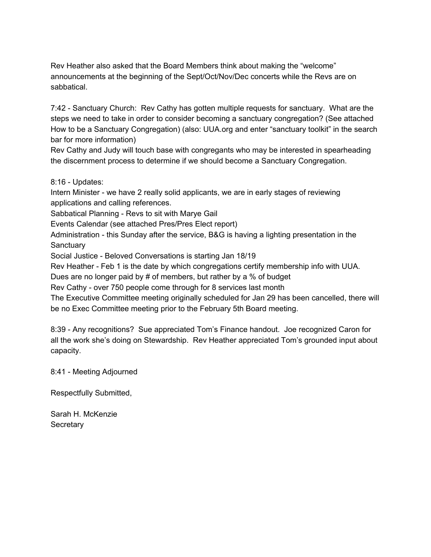Rev Heather also asked that the Board Members think about making the "welcome" announcements at the beginning of the Sept/Oct/Nov/Dec concerts while the Revs are on sabbatical.

7:42 - Sanctuary Church: Rev Cathy has gotten multiple requests for sanctuary. What are the steps we need to take in order to consider becoming a sanctuary congregation? (See attached How to be a Sanctuary Congregation) (also: UUA.org and enter "sanctuary toolkit" in the search bar for more information)

Rev Cathy and Judy will touch base with congregants who may be interested in spearheading the discernment process to determine if we should become a Sanctuary Congregation.

8:16 - Updates:

Intern Minister - we have 2 really solid applicants, we are in early stages of reviewing applications and calling references.

Sabbatical Planning - Revs to sit with Marye Gail

Events Calendar (see attached Pres/Pres Elect report)

Administration - this Sunday after the service, B&G is having a lighting presentation in the **Sanctuary** 

Social Justice - Beloved Conversations is starting Jan 18/19

Rev Heather - Feb 1 is the date by which congregations certify membership info with UUA.

Dues are no longer paid by # of members, but rather by a % of budget

Rev Cathy - over 750 people come through for 8 services last month

The Executive Committee meeting originally scheduled for Jan 29 has been cancelled, there will be no Exec Committee meeting prior to the February 5th Board meeting.

8:39 - Any recognitions? Sue appreciated Tom's Finance handout. Joe recognized Caron for all the work she's doing on Stewardship. Rev Heather appreciated Tom's grounded input about capacity.

8:41 - Meeting Adjourned

Respectfully Submitted,

Sarah H. McKenzie **Secretary**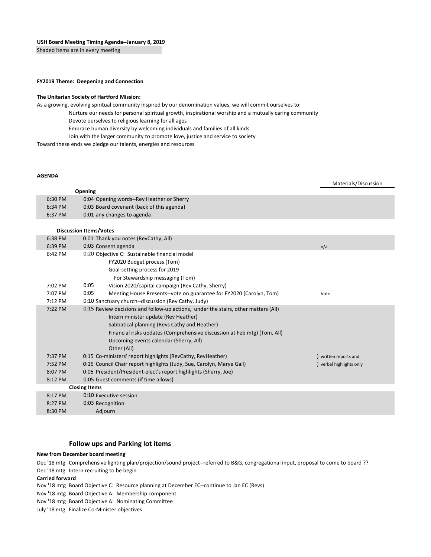Shaded items are in every meeting

#### **FY2019 Theme: Deepening and Connection**

#### **The Unitarian Society of Hartford Mission:**

As a growing, evolving spiritual community inspired by our denomination values, we will commit ourselves to:

- Nurture our needs for personal spiritual growth, inspirational worship and a mutually caring community
	- Devote ourselves to religious learning for all ages
	- Embrace human diversity by welcoming individuals and families of all kinds
- Join with the larger community to promote love, justice and service to society

Toward these ends we pledge our talents, energies and resources

#### **AGENDA**

Materials/Discussion

|         | <b>Opening</b>                            |
|---------|-------------------------------------------|
| 6:30 PM | 0:04 Opening words--Rev Heather or Sherry |
| 6:34 PM | 0:03 Board covenant (back of this agenda) |
| 6:37 PM | 0:01 any changes to agenda                |

#### **Discussion Items/Votes**

| 6:38 PM | 0:01 Thank you notes (RevCathy, All)                                               |                        |  |
|---------|------------------------------------------------------------------------------------|------------------------|--|
| 6:39 PM | 0:03 Consent agenda                                                                | n/a                    |  |
| 6:42 PM | 0:20 Objective C: Sustainable financial model                                      |                        |  |
|         | FY2020 Budget process (Tom)                                                        |                        |  |
|         | Goal-setting process for 2019                                                      |                        |  |
|         | For Stewardship messaging (Tom)                                                    |                        |  |
| 7:02 PM | Vision 2020/capital campaign (Rev Cathy, Sherry)<br>0:05                           |                        |  |
| 7:07 PM | 0:05<br>Meeting House Presents--vote on guarantee for FY2020 (Carolyn, Tom)        | Vote                   |  |
| 7:12 PM | 0:10 Sanctuary church--discussion (Rev Cathy, Judy)                                |                        |  |
| 7:22 PM | 0:15 Review decisions and follow-up actions, under the stairs, other matters (All) |                        |  |
|         | Intern minister update (Rev Heather)                                               |                        |  |
|         | Sabbatical planning (Revs Cathy and Heather)                                       |                        |  |
|         | Financial risks updates (Comprehensive discussion at Feb mtg) (Tom, All)           |                        |  |
|         | Upcoming events calendar (Sherry, All)                                             |                        |  |
|         | Other (All)                                                                        |                        |  |
| 7:37 PM | 0:15 Co-ministers' report highlights (RevCathy, RevHeather)                        | written reports and    |  |
| 7:52 PM | 0:15 Council Chair report highlights (Judy, Sue, Carolyn, Marye Gail)              | verbal highlights only |  |
| 8:07 PM | 0:05 President/President-elect's report highlights (Sherry, Joe)                   |                        |  |
| 8:12 PM | 0:05 Guest comments (if time allows)                                               |                        |  |
|         | <b>Closing Items</b>                                                               |                        |  |
| 8:17 PM | 0:10 Executive session                                                             |                        |  |
| 8:27 PM | 0:03 Recognition                                                                   |                        |  |
| 8:30 PM | Adjourn                                                                            |                        |  |

#### **Follow ups and Parking lot items**

#### **New from December board meeting**

Dec '18 mtg Comprehensive lighting plan/projection/sound project--referred to B&G, congregational input, proposal to come to board ??

Dec '18 mtg Intern recruiting to be begin

**Carried forward**

Nov '18 mtg Board Objective C: Resource planning at December EC--continue to Jan EC (Revs)

Nov '18 mtg Board Objective A: Membership component

Nov '18 mtg Board Objective A: Nominating Committee

July '18 mtg Finalize Co-Minister objectives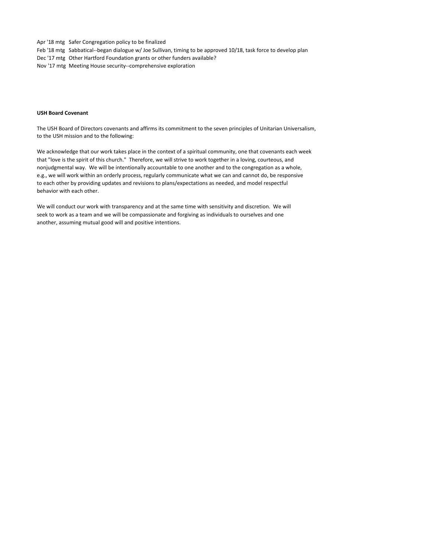Apr '18 mtg Safer Congregation policy to be finalized

- Feb '18 mtg Sabbatical--began dialogue w/ Joe Sullivan, timing to be approved 10/18, task force to develop plan
- Dec '17 mtg Other Hartford Foundation grants or other funders available?
- Nov '17 mtg Meeting House security--comprehensive exploration

#### **USH Board Covenant**

The USH Board of Directors covenants and affirms its commitment to the seven principles of Unitarian Universalism, to the USH mission and to the following:

We acknowledge that our work takes place in the context of a spiritual community, one that covenants each week that "love is the spirit of this church." Therefore, we will strive to work together in a loving, courteous, and nonjudgmental way. We will be intentionally accountable to one another and to the congregation as a whole, e.g., we will work within an orderly process, regularly communicate what we can and cannot do, be responsive to each other by providing updates and revisions to plans/expectations as needed, and model respectful behavior with each other.

We will conduct our work with transparency and at the same time with sensitivity and discretion. We will seek to work as a team and we will be compassionate and forgiving as individuals to ourselves and one another, assuming mutual good will and positive intentions.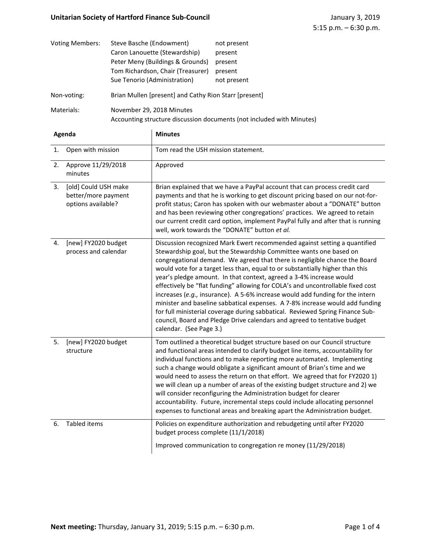| <b>Voting Members:</b> | Steve Basche (Endowment)                                                                           | not present |  |
|------------------------|----------------------------------------------------------------------------------------------------|-------------|--|
|                        | Caron Lanouette (Stewardship)                                                                      | present     |  |
|                        | Peter Meny (Buildings & Grounds)                                                                   | present     |  |
|                        | Tom Richardson, Chair (Treasurer)                                                                  | present     |  |
|                        | Sue Tenorio (Administration)                                                                       | not present |  |
| Non-voting:            | Brian Mullen [present] and Cathy Rion Starr [present]                                              |             |  |
| Materials:             | November 29, 2018 Minutes<br>Accounting structure discussion documents (not included with Minutes) |             |  |

| Agenda |                                                                   | <b>Minutes</b>                                                                                                                                                                                                                                                                                                                                                                                                                                                                                                                                                                                                                                                                                                                                                                                                                    |
|--------|-------------------------------------------------------------------|-----------------------------------------------------------------------------------------------------------------------------------------------------------------------------------------------------------------------------------------------------------------------------------------------------------------------------------------------------------------------------------------------------------------------------------------------------------------------------------------------------------------------------------------------------------------------------------------------------------------------------------------------------------------------------------------------------------------------------------------------------------------------------------------------------------------------------------|
| 1.     | Open with mission                                                 | Tom read the USH mission statement.                                                                                                                                                                                                                                                                                                                                                                                                                                                                                                                                                                                                                                                                                                                                                                                               |
| 2.     | Approve 11/29/2018<br>minutes                                     | Approved                                                                                                                                                                                                                                                                                                                                                                                                                                                                                                                                                                                                                                                                                                                                                                                                                          |
| 3.     | [old] Could USH make<br>better/more payment<br>options available? | Brian explained that we have a PayPal account that can process credit card<br>payments and that he is working to get discount pricing based on our not-for-<br>profit status; Caron has spoken with our webmaster about a "DONATE" button<br>and has been reviewing other congregations' practices. We agreed to retain<br>our current credit card option, implement PayPal fully and after that is running<br>well, work towards the "DONATE" button et al.                                                                                                                                                                                                                                                                                                                                                                      |
| 4.     | [new] FY2020 budget<br>process and calendar                       | Discussion recognized Mark Ewert recommended against setting a quantified<br>Stewardship goal, but the Stewardship Committee wants one based on<br>congregational demand. We agreed that there is negligible chance the Board<br>would vote for a target less than, equal to or substantially higher than this<br>year's pledge amount. In that context, agreed a 3-4% increase would<br>effectively be "flat funding" allowing for COLA's and uncontrollable fixed cost<br>increases (e.g., insurance). A 5-6% increase would add funding for the intern<br>minister and baseline sabbatical expenses. A 7-8% increase would add funding<br>for full ministerial coverage during sabbatical. Reviewed Spring Finance Sub-<br>council, Board and Pledge Drive calendars and agreed to tentative budget<br>calendar. (See Page 3.) |
| 5.     | [new] FY2020 budget<br>structure                                  | Tom outlined a theoretical budget structure based on our Council structure<br>and functional areas intended to clarify budget line items, accountability for<br>individual functions and to make reporting more automated. Implementing<br>such a change would obligate a significant amount of Brian's time and we<br>would need to assess the return on that effort. We agreed that for FY2020 1)<br>we will clean up a number of areas of the existing budget structure and 2) we<br>will consider reconfiguring the Administration budget for clearer<br>accountability. Future, incremental steps could include allocating personnel<br>expenses to functional areas and breaking apart the Administration budget.                                                                                                           |
| 6.     | <b>Tabled items</b>                                               | Policies on expenditure authorization and rebudgeting until after FY2020<br>budget process complete (11/1/2018)<br>Improved communication to congregation re money (11/29/2018)                                                                                                                                                                                                                                                                                                                                                                                                                                                                                                                                                                                                                                                   |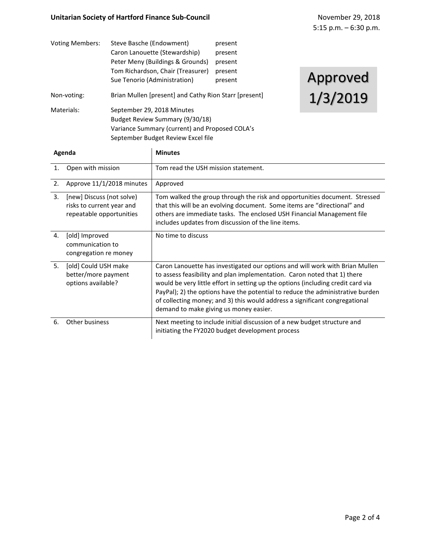| <b>Voting Members:</b> | Steve Basche (Endowment)                              | present |          |
|------------------------|-------------------------------------------------------|---------|----------|
|                        | Caron Lanouette (Stewardship)                         | present |          |
|                        | Peter Meny (Buildings & Grounds)                      | present |          |
|                        | Tom Richardson, Chair (Treasurer)                     | present |          |
|                        | Sue Tenorio (Administration)                          | present | Approved |
| Non-voting:            | Brian Mullen [present] and Cathy Rion Starr [present] |         | 1/3/2019 |
| Materials:             | September 29, 2018 Minutes                            |         |          |
|                        | Budget Review Summary (9/30/18)                       |         |          |
|                        | Variance Summary (current) and Proposed COLA's        |         |          |
|                        | September Budget Review Excel file                    |         |          |

| Agenda         |                                                                                    | <b>Minutes</b>                                                                                                                                                                                                                                                                                                                                                                                                                                          |
|----------------|------------------------------------------------------------------------------------|---------------------------------------------------------------------------------------------------------------------------------------------------------------------------------------------------------------------------------------------------------------------------------------------------------------------------------------------------------------------------------------------------------------------------------------------------------|
| $\mathbf{1}$ . | Open with mission                                                                  | Tom read the USH mission statement.                                                                                                                                                                                                                                                                                                                                                                                                                     |
| 2.             | Approve 11/1/2018 minutes                                                          | Approved                                                                                                                                                                                                                                                                                                                                                                                                                                                |
| 3.             | [new] Discuss (not solve)<br>risks to current year and<br>repeatable opportunities | Tom walked the group through the risk and opportunities document. Stressed<br>that this will be an evolving document. Some items are "directional" and<br>others are immediate tasks. The enclosed USH Financial Management file<br>includes updates from discussion of the line items.                                                                                                                                                                 |
| 4.             | [old] Improved<br>communication to<br>congregation re money                        | No time to discuss                                                                                                                                                                                                                                                                                                                                                                                                                                      |
| 5.             | [old] Could USH make<br>better/more payment<br>options available?                  | Caron Lanouette has investigated our options and will work with Brian Mullen<br>to assess feasibility and plan implementation. Caron noted that 1) there<br>would be very little effort in setting up the options (including credit card via<br>PayPal); 2) the options have the potential to reduce the administrative burden<br>of collecting money; and 3) this would address a significant congregational<br>demand to make giving us money easier. |
| 6.             | Other business                                                                     | Next meeting to include initial discussion of a new budget structure and<br>initiating the FY2020 budget development process                                                                                                                                                                                                                                                                                                                            |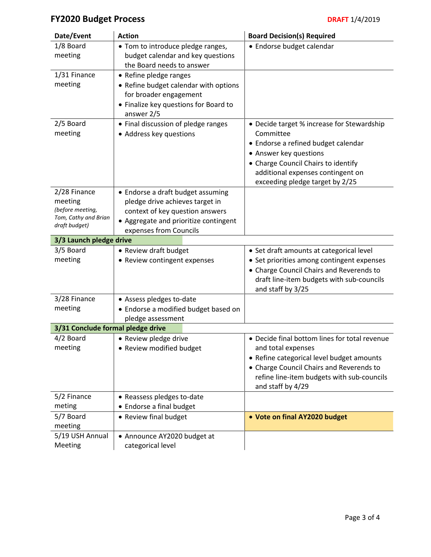# **FY2020 Budget Process DRAFT** 1/4/2019

| Date/Event                            | <b>Action</b>                                                  | <b>Board Decision(s) Required</b>                                                     |
|---------------------------------------|----------------------------------------------------------------|---------------------------------------------------------------------------------------|
| 1/8 Board                             | • Tom to introduce pledge ranges,                              | • Endorse budget calendar                                                             |
| meeting                               | budget calendar and key questions<br>the Board needs to answer |                                                                                       |
| 1/31 Finance                          | • Refine pledge ranges                                         |                                                                                       |
| meeting                               | • Refine budget calendar with options                          |                                                                                       |
|                                       | for broader engagement                                         |                                                                                       |
|                                       | • Finalize key questions for Board to<br>answer 2/5            |                                                                                       |
| 2/5 Board                             | • Final discussion of pledge ranges                            | • Decide target % increase for Stewardship                                            |
| meeting                               | • Address key questions                                        | Committee                                                                             |
|                                       |                                                                | • Endorse a refined budget calendar                                                   |
|                                       |                                                                | • Answer key questions                                                                |
|                                       |                                                                | • Charge Council Chairs to identify<br>additional expenses contingent on              |
|                                       |                                                                | exceeding pledge target by 2/25                                                       |
| 2/28 Finance                          | • Endorse a draft budget assuming                              |                                                                                       |
| meeting                               | pledge drive achieves target in                                |                                                                                       |
| (before meeting,                      | context of key question answers                                |                                                                                       |
| Tom, Cathy and Brian<br>draft budget) | • Aggregate and prioritize contingent                          |                                                                                       |
|                                       | expenses from Councils                                         |                                                                                       |
| 3/3 Launch pledge drive               |                                                                |                                                                                       |
| 3/5 Board                             | • Review draft budget                                          | • Set draft amounts at categorical level                                              |
| meeting                               | • Review contingent expenses                                   | • Set priorities among contingent expenses                                            |
|                                       |                                                                | • Charge Council Chairs and Reverends to<br>draft line-item budgets with sub-councils |
|                                       |                                                                | and staff by 3/25                                                                     |
| 3/28 Finance                          | • Assess pledges to-date                                       |                                                                                       |
| meeting                               | • Endorse a modified budget based on                           |                                                                                       |
|                                       | pledge assessment                                              |                                                                                       |
| 3/31 Conclude formal pledge drive     |                                                                |                                                                                       |
| 4/2 Board                             | • Review pledge drive                                          | • Decide final bottom lines for total revenue                                         |
| meeting                               | • Review modified budget                                       | and total expenses                                                                    |
|                                       |                                                                | • Refine categorical level budget amounts                                             |
|                                       |                                                                | • Charge Council Chairs and Reverends to                                              |
|                                       |                                                                | refine line-item budgets with sub-councils<br>and staff by 4/29                       |
| 5/2 Finance                           | • Reassess pledges to-date                                     |                                                                                       |
| meting                                | • Endorse a final budget                                       |                                                                                       |
| 5/7 Board                             | • Review final budget                                          | • Vote on final AY2020 budget                                                         |
| meeting                               |                                                                |                                                                                       |
| 5/19 USH Annual                       | • Announce AY2020 budget at                                    |                                                                                       |
| Meeting                               | categorical level                                              |                                                                                       |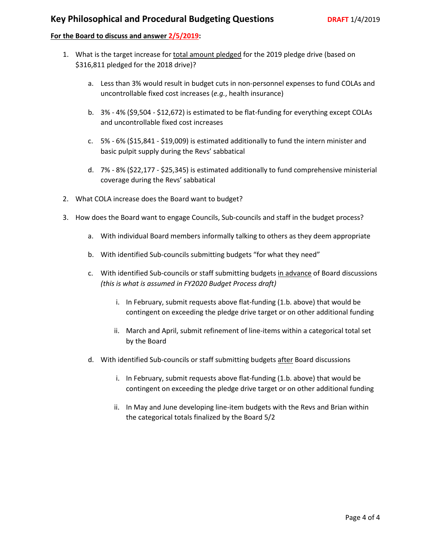# **Key Philosophical and Procedural Budgeting Questions <b>DRAFT** 1/4/2019

# **For the Board to discuss and answer 2/5/2019:**

- 1. What is the target increase for total amount pledged for the 2019 pledge drive (based on \$316,811 pledged for the 2018 drive)?
	- a. Less than 3% would result in budget cuts in non-personnel expenses to fund COLAs and uncontrollable fixed cost increases (*e.g.*, health insurance)
	- b. 3% 4% (\$9,504 \$12,672) is estimated to be flat-funding for everything except COLAs and uncontrollable fixed cost increases
	- c. 5% 6% (\$15,841 \$19,009) is estimated additionally to fund the intern minister and basic pulpit supply during the Revs' sabbatical
	- d. 7% 8% (\$22,177 \$25,345) is estimated additionally to fund comprehensive ministerial coverage during the Revs' sabbatical
- 2. What COLA increase does the Board want to budget?
- 3. How does the Board want to engage Councils, Sub-councils and staff in the budget process?
	- a. With individual Board members informally talking to others as they deem appropriate
	- b. With identified Sub-councils submitting budgets "for what they need"
	- c. With identified Sub-councils or staff submitting budgets in advance of Board discussions *(this is what is assumed in FY2020 Budget Process draft)*
		- i. In February, submit requests above flat-funding (1.b. above) that would be contingent on exceeding the pledge drive target or on other additional funding
		- ii. March and April, submit refinement of line-items within a categorical total set by the Board
	- d. With identified Sub-councils or staff submitting budgets after Board discussions
		- i. In February, submit requests above flat-funding (1.b. above) that would be contingent on exceeding the pledge drive target or on other additional funding
		- ii. In May and June developing line-item budgets with the Revs and Brian within the categorical totals finalized by the Board 5/2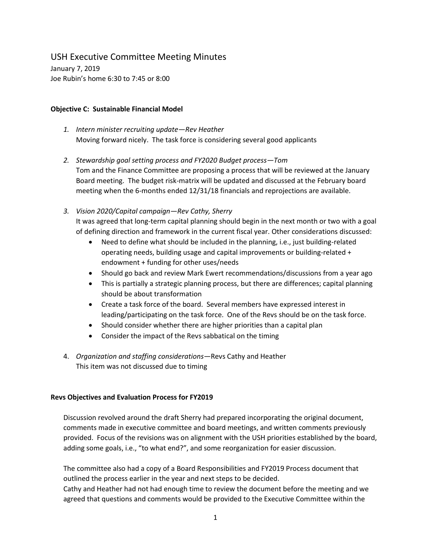# USH Executive Committee Meeting Minutes

January 7, 2019 Joe Rubin's home 6:30 to 7:45 or 8:00

#### **Objective C: Sustainable Financial Model**

- *1. Intern minister recruiting update—Rev Heather* Moving forward nicely. The task force is considering several good applicants
- *2. Stewardship goal setting process and FY2020 Budget process—Tom*  Tom and the Finance Committee are proposing a process that will be reviewed at the January Board meeting. The budget risk-matrix will be updated and discussed at the February board meeting when the 6-months ended 12/31/18 financials and reprojections are available.
- *3. Vision 2020/Capital campaign—Rev Cathy, Sherry*

It was agreed that long-term capital planning should begin in the next month or two with a goal of defining direction and framework in the current fiscal year. Other considerations discussed:

- Need to define what should be included in the planning, i.e., just building-related operating needs, building usage and capital improvements or building-related + endowment + funding for other uses/needs
- Should go back and review Mark Ewert recommendations/discussions from a year ago
- This is partially a strategic planning process, but there are differences; capital planning should be about transformation
- Create a task force of the board. Several members have expressed interest in leading/participating on the task force. One of the Revs should be on the task force.
- Should consider whether there are higher priorities than a capital plan
- Consider the impact of the Revs sabbatical on the timing
- 4. *Organization and staffing considerations*—Revs Cathy and Heather This item was not discussed due to timing

#### **Revs Objectives and Evaluation Process for FY2019**

Discussion revolved around the draft Sherry had prepared incorporating the original document, comments made in executive committee and board meetings, and written comments previously provided. Focus of the revisions was on alignment with the USH priorities established by the board, adding some goals, i.e., "to what end?", and some reorganization for easier discussion.

The committee also had a copy of a Board Responsibilities and FY2019 Process document that outlined the process earlier in the year and next steps to be decided.

Cathy and Heather had not had enough time to review the document before the meeting and we agreed that questions and comments would be provided to the Executive Committee within the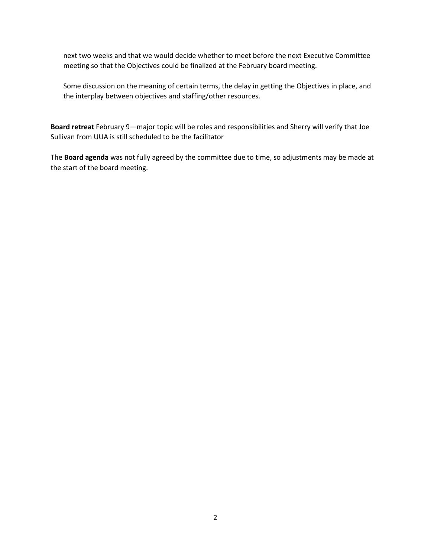next two weeks and that we would decide whether to meet before the next Executive Committee meeting so that the Objectives could be finalized at the February board meeting.

Some discussion on the meaning of certain terms, the delay in getting the Objectives in place, and the interplay between objectives and staffing/other resources.

**Board retreat** February 9—major topic will be roles and responsibilities and Sherry will verify that Joe Sullivan from UUA is still scheduled to be the facilitator

The **Board agenda** was not fully agreed by the committee due to time, so adjustments may be made at the start of the board meeting.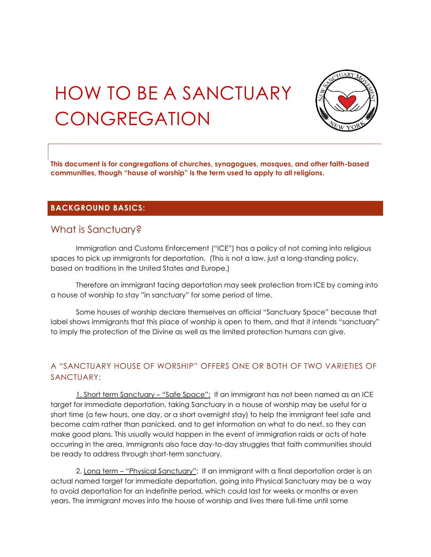# HOW TO BE A SANCTUARY **CONGREGATION**



**This document is for congregations of churches, synagogues, mosques, and other faith-based communities, though "house of worship" is the term used to apply to all religions.**

# **BACKGROUND BASICS:**

# What is Sanctuary?

Immigration and Customs Enforcement ("ICE") has a policy of not coming into religious spaces to pick up immigrants for deportation. (This is not a law, just a long-standing policy, based on traditions in the United States and Europe.)

Therefore an immigrant facing deportation may seek protection from ICE by coming into a house of worship to stay "in sanctuary" for some period of time.

Some houses of worship declare themselves an official "Sanctuary Space" because that label shows immigrants that this place of worship is open to them, and that it intends "sanctuary" to imply the protection of the Divine as well as the limited protection humans can give.

# A "SANCTUARY HOUSE OF WORSHIP" OFFERS ONE OR BOTH OF TWO VARIETIES OF SANCTUARY:

1. Short term Sanctuary - "Safe Space": If an immigrant has not been named as an ICE target for immediate deportation, taking Sanctuary in a house of worship may be useful for a short time (a few hours, one day, or a short overnight stay) to help the immigrant feel safe and become calm rather than panicked, and to get information on what to do next, so they can make good plans. This usually would happen in the event of immigration raids or acts of hate occurring in the area. Immigrants also face day-to-day struggles that faith communities should be ready to address through short-term sanctuary.

2. Long term - "Physical Sanctuary": If an immigrant with a final deportation order is an actual named target for immediate deportation, going into Physical Sanctuary may be a way to avoid deportation for an indefinite period, which could last for weeks or months or even years. The immigrant moves into the house of worship and lives there full-time until some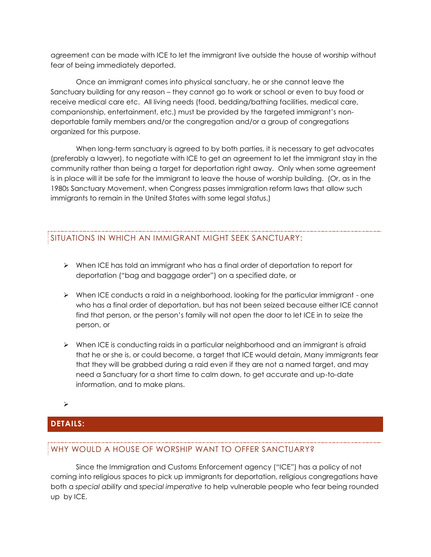agreement can be made with ICE to let the immigrant live outside the house of worship without fear of being immediately deported.

Once an immigrant comes into physical sanctuary, he or she cannot leave the Sanctuary building for any reason – they cannot go to work or school or even to buy food or receive medical care etc. All living needs (food, bedding/bathing facilities, medical care, companionship, entertainment, etc.) must be provided by the targeted immigrant's nondeportable family members and/or the congregation and/or a group of congregations organized for this purpose.

When long-term sanctuary is agreed to by both parties, it is necessary to get advocates (preferably a lawyer), to negotiate with ICE to get an agreement to let the immigrant stay in the community rather than being a target for deportation right away. Only when some agreement is in place will it be safe for the immigrant to leave the house of worship building. (Or, as in the 1980s Sanctuary Movement, when Congress passes immigration reform laws that allow such immigrants to remain in the United States with some legal status.)

# SITUATIONS IN WHICH AN IMMIGRANT MIGHT SEEK SANCTUARY:

- $\triangleright$  When ICE has told an immigrant who has a final order of deportation to report for deportation ("bag and baggage order") on a specified date, or
- $\triangleright$  When ICE conducts a raid in a neighborhood, looking for the particular immigrant one who has a final order of deportation, but has not been seized because either ICE cannot find that person, or the person's family will not open the door to let ICE in to seize the person, or
- $\triangleright$  When ICE is conducting raids in a particular neighborhood and an immigrant is afraid that he or she is, or could become, a target that ICE would detain, Many immigrants fear that they will be grabbed during a raid even if they are not a named target, and may need a Sanctuary for a short time to calm down, to get accurate and up-to-date information, and to make plans.

 $\blacktriangleright$ 

# **DETAILS:**

# WHY WOULD A HOUSE OF WORSHIP WANT TO OFFER SANCTUARY?

Since the Immigration and Customs Enforcement agency ("ICE") has a policy of not coming into religious spaces to pick up immigrants for deportation, religious congregations have both a *special ability* and *special imperative* to help vulnerable people who fear being rounded up by ICE.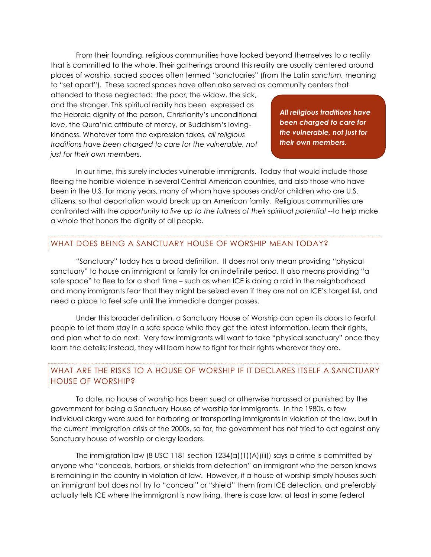From their founding, religious communities have looked beyond themselves to a reality that is committed to the whole. Their gatherings around this reality are usually centered around places of worship, sacred spaces often termed "sanctuaries" (from the Latin *sanctum,* meaning to "set apart"). These sacred spaces have often also served as community centers that

attended to those neglected: the poor, the widow, the sick, and the stranger. This spiritual reality has been expressed as the Hebraic dignity of the person, Christianity's unconditional love, the Qura'nic attribute of mercy, or Buddhism's lovingkindness. Whatever form the expression takes*, all religious traditions have been charged to care for the vulnerable, not just for their own members.*

*All religious traditions have been charged to care for the vulnerable, not just for their own members.*

In our time, this surely includes vulnerable immigrants. Today that would include those fleeing the horrible violence in several Central American countries, and also those who have been in the U.S. for many years, many of whom have spouses and/or children who are U.S. citizens, so that deportation would break up an American family. Religious communities are confronted with the *opportunity to live up to the fullness of their spiritual potential* --to help make a whole that honors the dignity of all people.

# WHAT DOES BEING A SANCTUARY HOUSE OF WORSHIP MEAN TODAY?

"Sanctuary" today has a broad definition. It does not only mean providing "physical sanctuary" to house an immigrant or family for an indefinite period. It also means providing "a safe space" to flee to for a short time – such as when ICE is doing a raid in the neighborhood and many immigrants fear that they might be seized even if they are not on ICE's target list, and need a place to feel safe until the immediate danger passes.

Under this broader definition, a Sanctuary House of Worship can open its doors to fearful people to let them stay in a safe space while they get the latest information, learn their rights, and plan what to do next. Very few immigrants will want to take "physical sanctuary" once they learn the details; instead, they will learn how to fight for their rights wherever they are.

# WHAT ARE THE RISKS TO A HOUSE OF WORSHIP IF IT DECLARES ITSELF A SANCTUARY HOUSE OF WORSHIP?

To date, no house of worship has been sued or otherwise harassed or punished by the government for being a Sanctuary House of worship for immigrants. In the 1980s, a few individual clergy were sued for harboring or transporting immigrants in violation of the law, but in the current immigration crisis of the 2000s, so far, the government has not tried to act against any Sanctuary house of worship or clergy leaders.

The immigration law (8 USC 1181 section  $1234(a)(1)(A)(iii)$ ) says a crime is committed by anyone who "conceals, harbors, or shields from detection" an immigrant who the person knows is remaining in the country in violation of law. However, if a house of worship simply houses such an immigrant but does not try to "conceal" or "shield" them from ICE detection, and preferably actually tells ICE where the immigrant is now living, there is case law, at least in some federal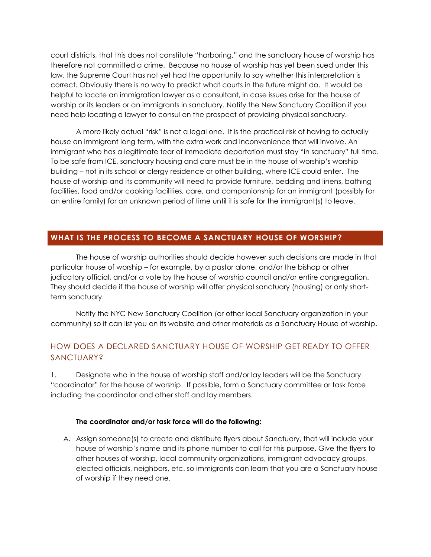court districts, that this does not constitute "harboring," and the sanctuary house of worship has therefore not committed a crime. Because no house of worship has yet been sued under this law, the Supreme Court has not yet had the opportunity to say whether this interpretation is correct. Obviously there is no way to predict what courts in the future might do. It would be helpful to locate an immigration lawyer as a consultant, in case issues arise for the house of worship or its leaders or an immigrants in sanctuary. Notify the New Sanctuary Coalition if you need help locating a lawyer to consul on the prospect of providing physical sanctuary.

A more likely actual "risk" is not a legal one. It is the practical risk of having to actually house an immigrant long term, with the extra work and inconvenience that will involve. An immigrant who has a legitimate fear of immediate deportation must stay "in sanctuary" full time. To be safe from ICE, sanctuary housing and care must be in the house of worship's worship building – not in its school or clergy residence or other building, where ICE could enter. The house of worship and its community will need to provide furniture, bedding and linens, bathing facilities, food and/or cooking facilities, care, and companionship for an immigrant (possibly for an entire family) for an unknown period of time until it is safe for the immigrant(s) to leave.

# **WHAT IS THE PROCESS TO BECOME A SANCTUARY HOUSE OF WORSHIP?**

The house of worship authorities should decide however such decisions are made in that particular house of worship – for example, by a pastor alone, and/or the bishop or other judicatory official, and/or a vote by the house of worship council and/or entire congregation. They should decide if the house of worship will offer physical sanctuary (housing) or only shortterm sanctuary.

Notify the NYC New Sanctuary Coalition (or other local Sanctuary organization in your community) so it can list you on its website and other materials as a Sanctuary House of worship.

# HOW DOES A DECLARED SANCTUARY HOUSE OF WORSHIP GET READY TO OFFER **SANCTUARY?**

1. Designate who in the house of worship staff and/or lay leaders will be the Sanctuary "coordinator" for the house of worship. If possible, form a Sanctuary committee or task force including the coordinator and other staff and lay members.

#### **The coordinator and/or task force will do the following:**

A. Assign someone(s) to create and distribute flyers about Sanctuary, that will include your house of worship's name and its phone number to call for this purpose. Give the flyers to other houses of worship, local community organizations, immigrant advocacy groups, elected officials, neighbors, etc. so immigrants can learn that you are a Sanctuary house of worship if they need one.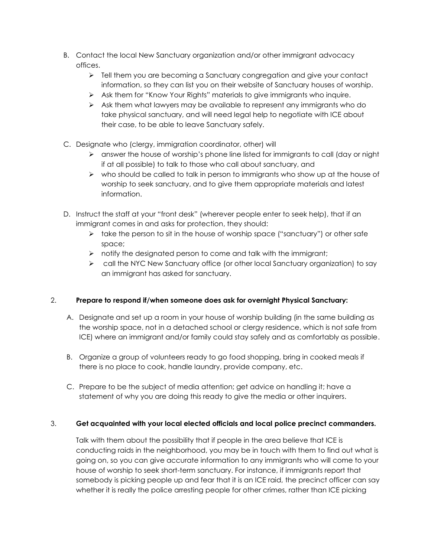- B. Contact the local New Sanctuary organization and/or other immigrant advocacy offices.
	- $\triangleright$  Tell them you are becoming a Sanctuary congregation and give your contact information, so they can list you on their website of Sanctuary houses of worship.
	- Ask them for "Know Your Rights" materials to give immigrants who inquire.
	- $\triangleright$  Ask them what lawyers may be available to represent any immigrants who do take physical sanctuary, and will need legal help to negotiate with ICE about their case, to be able to leave Sanctuary safely.
- C. Designate who (clergy, immigration coordinator, other) will
	- answer the house of worship's phone line listed for immigrants to call (day or night if at all possible) to talk to those who call about sanctuary, and
	- $\triangleright$  who should be called to talk in person to immigrants who show up at the house of worship to seek sanctuary, and to give them appropriate materials and latest information.
- D. Instruct the staff at your "front desk" (wherever people enter to seek help), that if an immigrant comes in and asks for protection, they should:
	- $\triangleright$  take the person to sit in the house of worship space ("sanctuary") or other safe space;
	- $\triangleright$  notify the designated person to come and talk with the immigrant;
	- $\triangleright$  call the NYC New Sanctuary office (or other local Sanctuary organization) to say an immigrant has asked for sanctuary.

# 2. **Prepare to respond if/when someone does ask for overnight Physical Sanctuary:**

- A. Designate and set up a room in your house of worship building (in the same building as the worship space, not in a detached school or clergy residence, which is not safe from ICE) where an immigrant and/or family could stay safely and as comfortably as possible.
- B. Organize a group of volunteers ready to go food shopping, bring in cooked meals if there is no place to cook, handle laundry, provide company, etc.
- C. Prepare to be the subject of media attention; get advice on handling it; have a statement of why you are doing this ready to give the media or other inquirers.

# 3. **Get acquainted with your local elected officials and local police precinct commanders.**

Talk with them about the possibility that if people in the area believe that ICE is conducting raids in the neighborhood, you may be in touch with them to find out what is going on, so you can give accurate information to any immigrants who will come to your house of worship to seek short-term sanctuary. For instance, if immigrants report that somebody is picking people up and fear that it is an ICE raid, the precinct officer can say whether it is really the police arresting people for other crimes, rather than ICE picking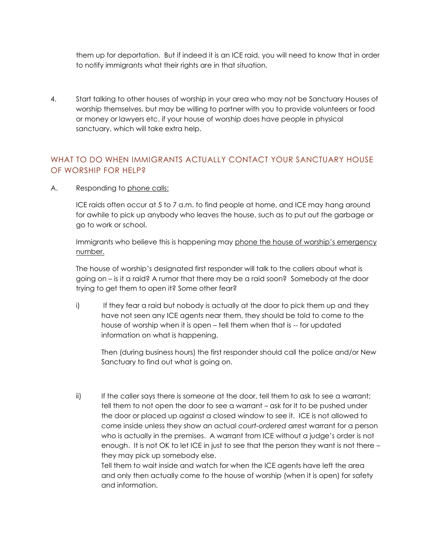them up for deportation. But if indeed it is an ICE raid, you will need to know that in order to notify immigrants what their rights are in that situation.

4. Start talking to other houses of worship in your area who may not be Sanctuary Houses of worship themselves, but may be willing to partner with you to provide volunteers or food or money or lawyers etc. if your house of worship does have people in physical sanctuary, which will take extra help.

# WHAT TO DO WHEN IMMIGRANTS ACTUALLY CONTACT YOUR SANCTUARY HOUSE OF WORSHIP FOR HELP?

A. Responding to phone calls:

ICE raids often occur at 5 to 7 a.m. to find people at home, and ICE may hang around for awhile to pick up anybody who leaves the house, such as to put out the garbage or go to work or school.

Immigrants who believe this is happening may phone the house of worship's emergency number.

The house of worship's designated first responder will talk to the callers about what is going on – is it a raid? A rumor that there may be a raid soon? Somebody at the door trying to get them to open it? Some other fear?

i) If they fear a raid but nobody is actually at the door to pick them up and they have not seen any ICE agents near them, they should be told to come to the house of worship when it is open – tell them when that is -- for updated information on what is happening.

Then (during business hours) the first responder should call the police and/or New Sanctuary to find out what is going on.

ii) If the caller says there is someone at the door, tell them to ask to see a warrant; tell them to not open the door to see a warrant – ask for it to be pushed under the door or placed up against a closed window to see it. ICE is not allowed to come inside unless they show an actual *court-ordered* arrest warrant for a person who is actually in the premises. A warrant from ICE without a judge's order is not enough. It is not OK to let ICE in just to see that the person they want is not there – they may pick up somebody else. Tell them to wait inside and watch for when the ICE agents have left the area

and only then actually come to the house of worship (when it is open) for safety and information.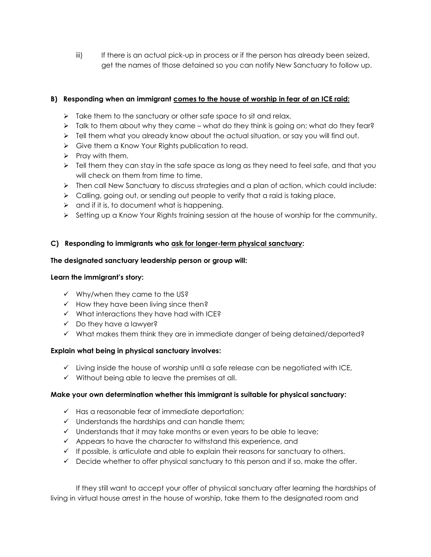iii) If there is an actual pick-up in process or if the person has already been seized, get the names of those detained so you can notify New Sanctuary to follow up.

# **B) Responding when an immigrant comes to the house of worship in fear of an ICE raid:**

- $\triangleright$  Take them to the sanctuary or other safe space to sit and relax.
- $\triangleright$  Talk to them about why they came what do they think is going on; what do they fear?
- $\triangleright$  Tell them what you already know about the actual situation, or say you will find out.
- Give them a Know Your Rights publication to read.
- $\triangleright$  Pray with them.
- $\triangleright$  Tell them they can stay in the safe space as long as they need to feel safe, and that you will check on them from time to time.
- $\triangleright$  Then call New Sanctuary to discuss strategies and a plan of action, which could include:
- $\triangleright$  Calling, going out, or sending out people to verify that a raid is taking place,
- $\triangleright$  and if it is, to document what is happening.
- $\triangleright$  Setting up a Know Your Rights training session at the house of worship for the community.

# **C) Responding to immigrants who ask for longer-term physical sanctuary:**

#### **The designated sanctuary leadership person or group will:**

#### **Learn the immigrant's story:**

- $\checkmark$  Why/when they came to the US?
- $\checkmark$  How they have been living since then?
- $\checkmark$  What interactions they have had with ICE?
- $\checkmark$  Do they have a lawyer?
- $\checkmark$  What makes them think they are in immediate danger of being detained/deported?

#### **Explain what being in physical sanctuary involves:**

- $\checkmark$  Living inside the house of worship until a safe release can be negotiated with ICE,
- $\checkmark$  Without being able to leave the premises at all.

#### **Make your own determination whether this immigrant is suitable for physical sanctuary:**

- $\checkmark$  Has a reasonable fear of immediate deportation:
- $\checkmark$  Understands the hardships and can handle them;
- $\checkmark$  Understands that it may take months or even years to be able to leave;
- $\checkmark$  Appears to have the character to withstand this experience, and
- $\checkmark$  If possible, is articulate and able to explain their reasons for sanctuary to others.
- $\checkmark$  Decide whether to offer physical sanctuary to this person and if so, make the offer.

If they still want to accept your offer of physical sanctuary after learning the hardships of living in virtual house arrest in the house of worship, take them to the designated room and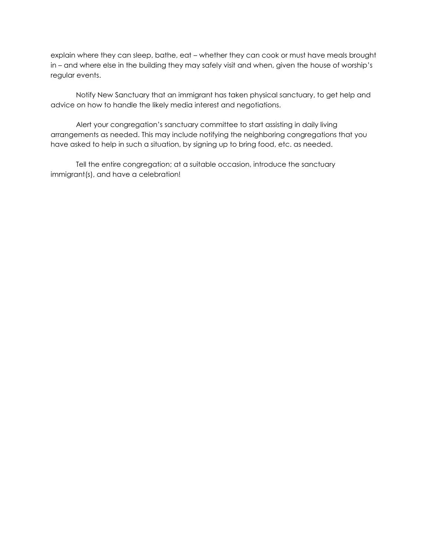explain where they can sleep, bathe, eat – whether they can cook or must have meals brought in – and where else in the building they may safely visit and when, given the house of worship's regular events.

Notify New Sanctuary that an immigrant has taken physical sanctuary, to get help and advice on how to handle the likely media interest and negotiations.

Alert your congregation's sanctuary committee to start assisting in daily living arrangements as needed. This may include notifying the neighboring congregations that you have asked to help in such a situation, by signing up to bring food, etc. as needed.

Tell the entire congregation; at a suitable occasion, introduce the sanctuary immigrant(s), and have a celebration!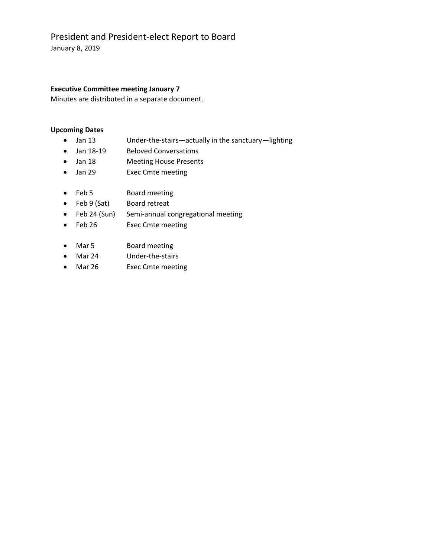# President and President-elect Report to Board

January 8, 2019

# **Executive Committee meeting January 7**

Minutes are distributed in a separate document.

# **Upcoming Dates**

- Jan 13 Under-the-stairs—actually in the sanctuary—lighting
- Jan 18-19 Beloved Conversations
- Jan 18 Meeting House Presents
- Jan 29 Exec Cmte meeting
- Feb 5 Board meeting
- Feb 9 (Sat) Board retreat
- Feb 24 (Sun) Semi-annual congregational meeting
- Feb 26 Exec Cmte meeting
- Mar 5 Board meeting
- Mar 24 Under-the-stairs
- Mar 26 Exec Cmte meeting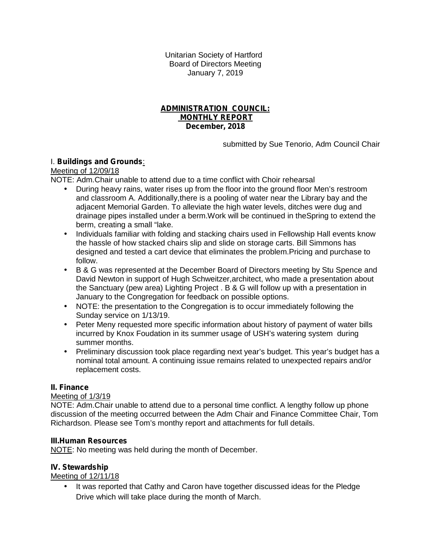Unitarian Society of Hartford Board of Directors Meeting January 7, 2019

# **ADMINISTRATION COUNCIL: MONTHLY REPORT December, 2018**

submitted by Sue Tenorio, Adm Council Chair

# I. **Buildings and Grounds**:

Meeting of 12/09/18

NOTE: Adm.Chair unable to attend due to a time conflict with Choir rehearsal

- During heavy rains, water rises up from the floor into the ground floor Men's restroom and classroom A. Additionally,there is a pooling of water near the Library bay and the adjacent Memorial Garden. To alleviate the high water levels, ditches were dug and drainage pipes installed under a berm.Work will be continued in theSpring to extend the berm, creating a small "lake.
- Individuals familiar with folding and stacking chairs used in Fellowship Hall events know the hassle of how stacked chairs slip and slide on storage carts. Bill Simmons has designed and tested a cart device that eliminates the problem.Pricing and purchase to follow.
- B & G was represented at the December Board of Directors meeting by Stu Spence and David Newton in support of Hugh Schweitzer,architect, who made a presentation about the Sanctuary (pew area) Lighting Project . B & G will follow up with a presentation in January to the Congregation for feedback on possible options.
- NOTE: the presentation to the Congregation is to occur immediately following the Sunday service on 1/13/19.
- Peter Meny requested more specific information about history of payment of water bills incurred by Knox Foudation in its summer usage of USH's watering system during summer months.
- Preliminary discussion took place regarding next year's budget. This year's budget has a nominal total amount. A continuing issue remains related to unexpected repairs and/or replacement costs.

# **II. Finance**

# Meeting of 1/3/19

NOTE: Adm.Chair unable to attend due to a personal time conflict. A lengthy follow up phone discussion of the meeting occurred between the Adm Chair and Finance Committee Chair, Tom Richardson. Please see Tom's monthy report and attachments for full details.

# **III.Human Resources**

NOTE: No meeting was held during the month of December.

# **IV. Stewardship**

# Meeting of 12/11/18

 It was reported that Cathy and Caron have together discussed ideas for the Pledge Drive which will take place during the month of March.